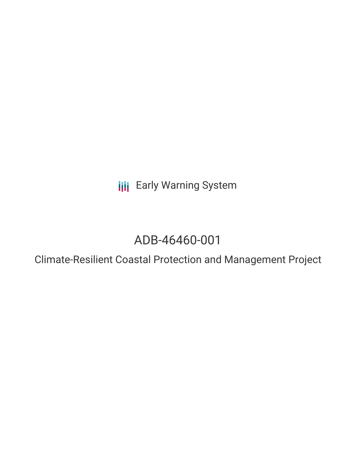**III** Early Warning System

# ADB-46460-001

Climate-Resilient Coastal Protection and Management Project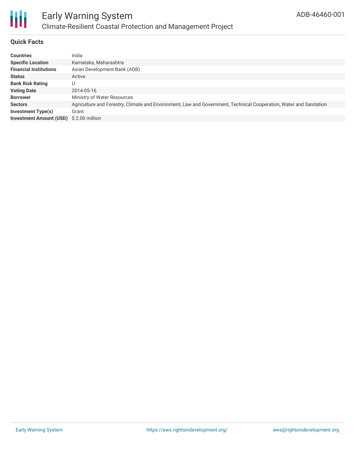

## **Quick Facts**

| <b>Countries</b>                        | India                                                                                                              |
|-----------------------------------------|--------------------------------------------------------------------------------------------------------------------|
| <b>Specific Location</b>                | Karnataka, Maharashtra                                                                                             |
| <b>Financial Institutions</b>           | Asian Development Bank (ADB)                                                                                       |
| <b>Status</b>                           | Active                                                                                                             |
| <b>Bank Risk Rating</b>                 | U                                                                                                                  |
| <b>Voting Date</b>                      | 2014-05-16                                                                                                         |
| <b>Borrower</b>                         | Ministry of Water Resources                                                                                        |
| <b>Sectors</b>                          | Agriculture and Forestry, Climate and Environment, Law and Government, Technical Cooperation, Water and Sanitation |
| Investment Type(s)                      | Grant                                                                                                              |
| Investment Amount (USD) \$ 2.00 million |                                                                                                                    |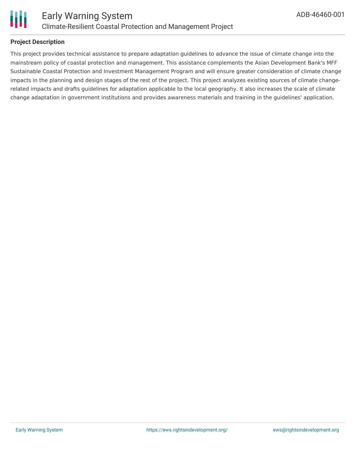

### **Project Description**

This project provides technical assistance to prepare adaptation guidelines to advance the issue of climate change into the mainstream policy of coastal protection and management. This assistance complements the Asian Development Bank's MFF Sustainable Coastal Protection and Investment Management Program and will ensure greater consideration of climate change impacts in the planning and design stages of the rest of the project. This project analyzes existing sources of climate changerelated impacts and drafts guidelines for adaptation applicable to the local geography. It also increases the scale of climate change adaptation in government institutions and provides awareness materials and training in the guidelines' application.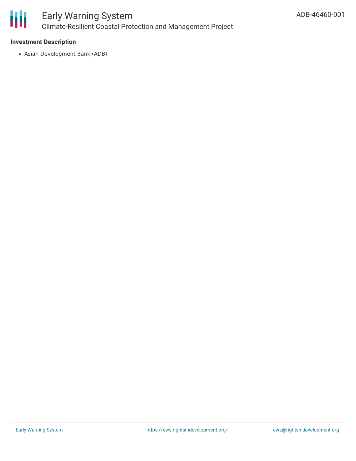

### **Investment Description**

Asian Development Bank (ADB)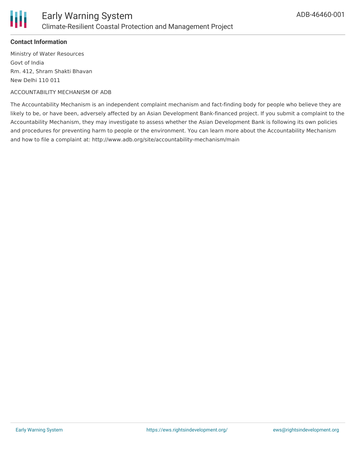

### **Contact Information**

Ministry of Water Resources Govt of India Rm. 412, Shram Shakti Bhavan New Delhi 110 011

#### ACCOUNTABILITY MECHANISM OF ADB

The Accountability Mechanism is an independent complaint mechanism and fact-finding body for people who believe they are likely to be, or have been, adversely affected by an Asian Development Bank-financed project. If you submit a complaint to the Accountability Mechanism, they may investigate to assess whether the Asian Development Bank is following its own policies and procedures for preventing harm to people or the environment. You can learn more about the Accountability Mechanism and how to file a complaint at: http://www.adb.org/site/accountability-mechanism/main